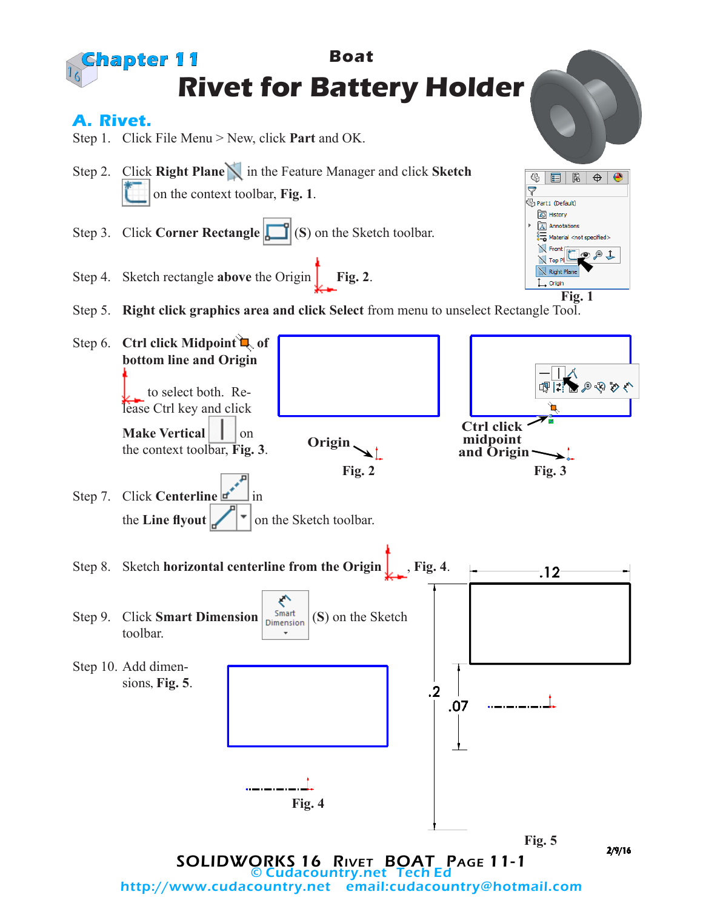

http://www.cudacountry.net email:cudacountry@hotmail.com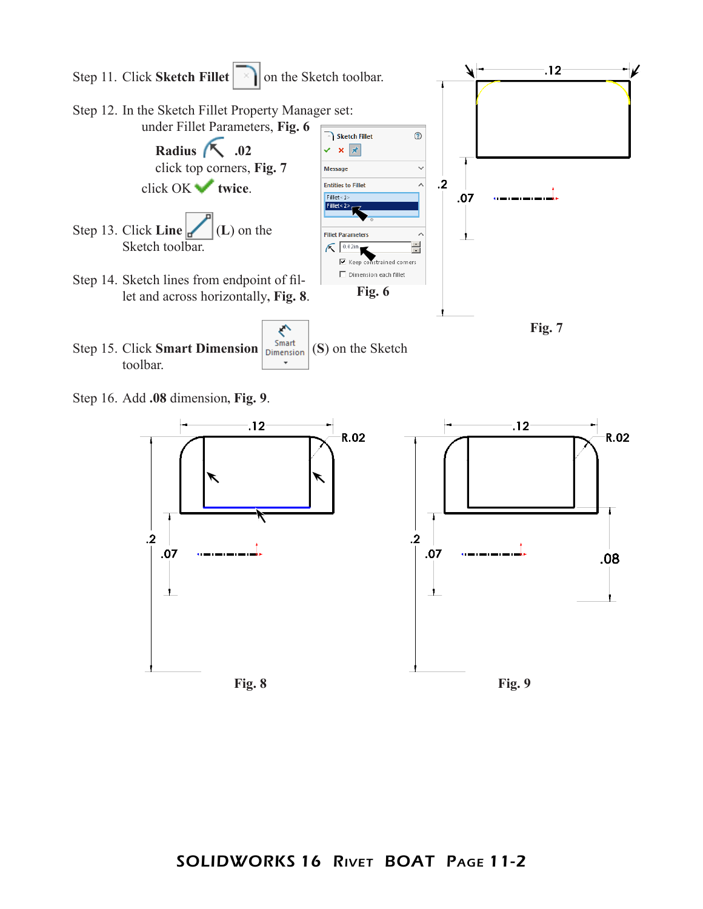

Step 16. Add **.08** dimension**, Fig. 9**.